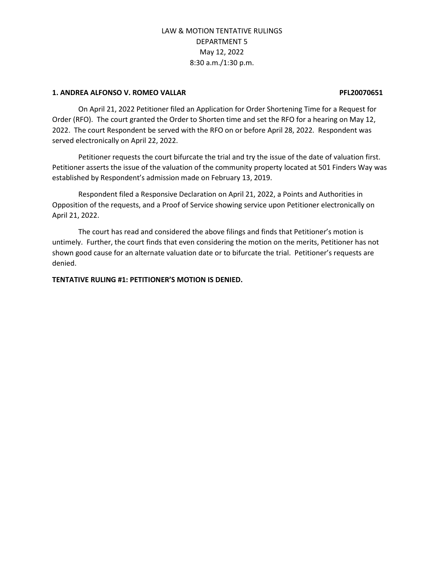#### **1. ANDREA ALFONSO V. ROMEO VALLAR PFL20070651**

On April 21, 2022 Petitioner filed an Application for Order Shortening Time for a Request for Order (RFO). The court granted the Order to Shorten time and set the RFO for a hearing on May 12, 2022. The court Respondent be served with the RFO on or before April 28, 2022. Respondent was served electronically on April 22, 2022.

Petitioner requests the court bifurcate the trial and try the issue of the date of valuation first. Petitioner asserts the issue of the valuation of the community property located at 501 Finders Way was established by Respondent's admission made on February 13, 2019.

Respondent filed a Responsive Declaration on April 21, 2022, a Points and Authorities in Opposition of the requests, and a Proof of Service showing service upon Petitioner electronically on April 21, 2022.

The court has read and considered the above filings and finds that Petitioner's motion is untimely. Further, the court finds that even considering the motion on the merits, Petitioner has not shown good cause for an alternate valuation date or to bifurcate the trial. Petitioner's requests are denied.

**TENTATIVE RULING #1: PETITIONER'S MOTION IS DENIED.**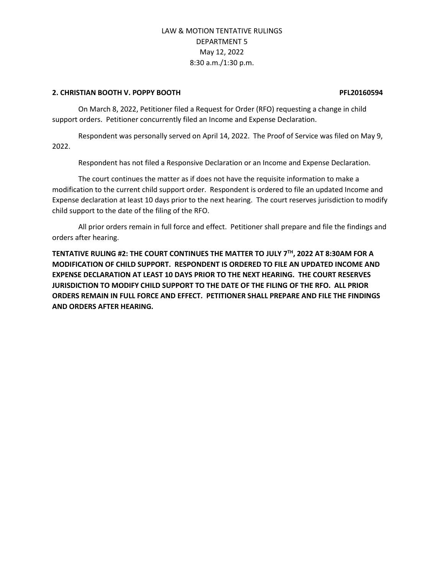#### **2. CHRISTIAN BOOTH V. POPPY BOOTH PFL20160594**

On March 8, 2022, Petitioner filed a Request for Order (RFO) requesting a change in child support orders. Petitioner concurrently filed an Income and Expense Declaration.

Respondent was personally served on April 14, 2022. The Proof of Service was filed on May 9, 2022.

Respondent has not filed a Responsive Declaration or an Income and Expense Declaration.

The court continues the matter as if does not have the requisite information to make a modification to the current child support order. Respondent is ordered to file an updated Income and Expense declaration at least 10 days prior to the next hearing. The court reserves jurisdiction to modify child support to the date of the filing of the RFO.

All prior orders remain in full force and effect. Petitioner shall prepare and file the findings and orders after hearing.

**TENTATIVE RULING #2: THE COURT CONTINUES THE MATTER TO JULY 7TH, 2022 AT 8:30AM FOR A MODIFICATION OF CHILD SUPPORT. RESPONDENT IS ORDERED TO FILE AN UPDATED INCOME AND EXPENSE DECLARATION AT LEAST 10 DAYS PRIOR TO THE NEXT HEARING. THE COURT RESERVES JURISDICTION TO MODIFY CHILD SUPPORT TO THE DATE OF THE FILING OF THE RFO. ALL PRIOR ORDERS REMAIN IN FULL FORCE AND EFFECT. PETITIONER SHALL PREPARE AND FILE THE FINDINGS AND ORDERS AFTER HEARING.**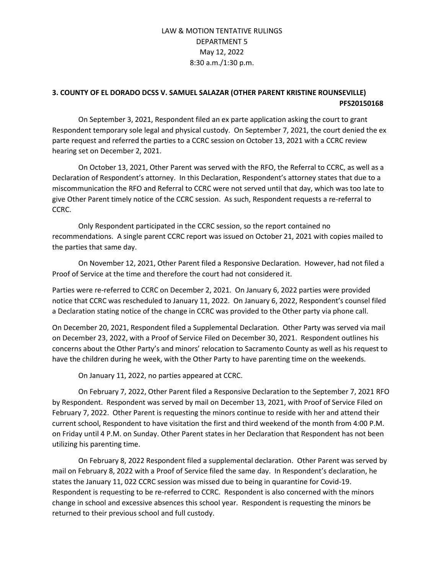## **3. COUNTY OF EL DORADO DCSS V. SAMUEL SALAZAR (OTHER PARENT KRISTINE ROUNSEVILLE) PFS20150168**

On September 3, 2021, Respondent filed an ex parte application asking the court to grant Respondent temporary sole legal and physical custody. On September 7, 2021, the court denied the ex parte request and referred the parties to a CCRC session on October 13, 2021 with a CCRC review hearing set on December 2, 2021.

On October 13, 2021, Other Parent was served with the RFO, the Referral to CCRC, as well as a Declaration of Respondent's attorney. In this Declaration, Respondent's attorney states that due to a miscommunication the RFO and Referral to CCRC were not served until that day, which was too late to give Other Parent timely notice of the CCRC session. As such, Respondent requests a re-referral to CCRC.

Only Respondent participated in the CCRC session, so the report contained no recommendations. A single parent CCRC report was issued on October 21, 2021 with copies mailed to the parties that same day.

On November 12, 2021, Other Parent filed a Responsive Declaration. However, had not filed a Proof of Service at the time and therefore the court had not considered it.

Parties were re-referred to CCRC on December 2, 2021. On January 6, 2022 parties were provided notice that CCRC was rescheduled to January 11, 2022. On January 6, 2022, Respondent's counsel filed a Declaration stating notice of the change in CCRC was provided to the Other party via phone call.

On December 20, 2021, Respondent filed a Supplemental Declaration. Other Party was served via mail on December 23, 2022, with a Proof of Service Filed on December 30, 2021. Respondent outlines his concerns about the Other Party's and minors' relocation to Sacramento County as well as his request to have the children during he week, with the Other Party to have parenting time on the weekends.

On January 11, 2022, no parties appeared at CCRC.

On February 7, 2022, Other Parent filed a Responsive Declaration to the September 7, 2021 RFO by Respondent. Respondent was served by mail on December 13, 2021, with Proof of Service Filed on February 7, 2022. Other Parent is requesting the minors continue to reside with her and attend their current school, Respondent to have visitation the first and third weekend of the month from 4:00 P.M. on Friday until 4 P.M. on Sunday. Other Parent states in her Declaration that Respondent has not been utilizing his parenting time.

On February 8, 2022 Respondent filed a supplemental declaration. Other Parent was served by mail on February 8, 2022 with a Proof of Service filed the same day. In Respondent's declaration, he states the January 11, 022 CCRC session was missed due to being in quarantine for Covid-19. Respondent is requesting to be re-referred to CCRC. Respondent is also concerned with the minors change in school and excessive absences this school year. Respondent is requesting the minors be returned to their previous school and full custody.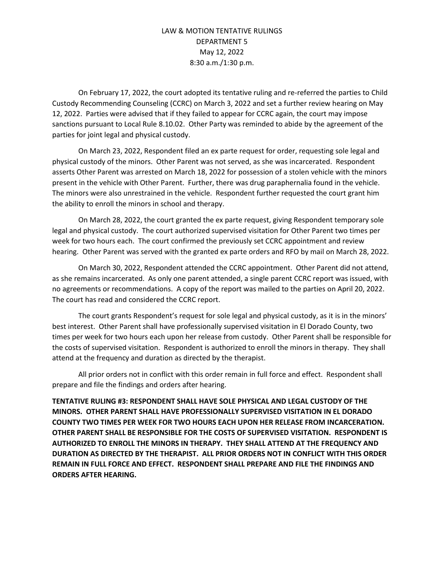On February 17, 2022, the court adopted its tentative ruling and re-referred the parties to Child Custody Recommending Counseling (CCRC) on March 3, 2022 and set a further review hearing on May 12, 2022. Parties were advised that if they failed to appear for CCRC again, the court may impose sanctions pursuant to Local Rule 8.10.02. Other Party was reminded to abide by the agreement of the parties for joint legal and physical custody.

On March 23, 2022, Respondent filed an ex parte request for order, requesting sole legal and physical custody of the minors. Other Parent was not served, as she was incarcerated. Respondent asserts Other Parent was arrested on March 18, 2022 for possession of a stolen vehicle with the minors present in the vehicle with Other Parent. Further, there was drug paraphernalia found in the vehicle. The minors were also unrestrained in the vehicle. Respondent further requested the court grant him the ability to enroll the minors in school and therapy.

On March 28, 2022, the court granted the ex parte request, giving Respondent temporary sole legal and physical custody. The court authorized supervised visitation for Other Parent two times per week for two hours each. The court confirmed the previously set CCRC appointment and review hearing. Other Parent was served with the granted ex parte orders and RFO by mail on March 28, 2022.

On March 30, 2022, Respondent attended the CCRC appointment. Other Parent did not attend, as she remains incarcerated. As only one parent attended, a single parent CCRC report was issued, with no agreements or recommendations. A copy of the report was mailed to the parties on April 20, 2022. The court has read and considered the CCRC report.

The court grants Respondent's request for sole legal and physical custody, as it is in the minors' best interest. Other Parent shall have professionally supervised visitation in El Dorado County, two times per week for two hours each upon her release from custody. Other Parent shall be responsible for the costs of supervised visitation. Respondent is authorized to enroll the minors in therapy. They shall attend at the frequency and duration as directed by the therapist.

All prior orders not in conflict with this order remain in full force and effect. Respondent shall prepare and file the findings and orders after hearing.

**TENTATIVE RULING #3: RESPONDENT SHALL HAVE SOLE PHYSICAL AND LEGAL CUSTODY OF THE MINORS. OTHER PARENT SHALL HAVE PROFESSIONALLY SUPERVISED VISITATION IN EL DORADO COUNTY TWO TIMES PER WEEK FOR TWO HOURS EACH UPON HER RELEASE FROM INCARCERATION. OTHER PARENT SHALL BE RESPONSIBLE FOR THE COSTS OF SUPERVISED VISITATION. RESPONDENT IS AUTHORIZED TO ENROLL THE MINORS IN THERAPY. THEY SHALL ATTEND AT THE FREQUENCY AND DURATION AS DIRECTED BY THE THERAPIST. ALL PRIOR ORDERS NOT IN CONFLICT WITH THIS ORDER REMAIN IN FULL FORCE AND EFFECT. RESPONDENT SHALL PREPARE AND FILE THE FINDINGS AND ORDERS AFTER HEARING.**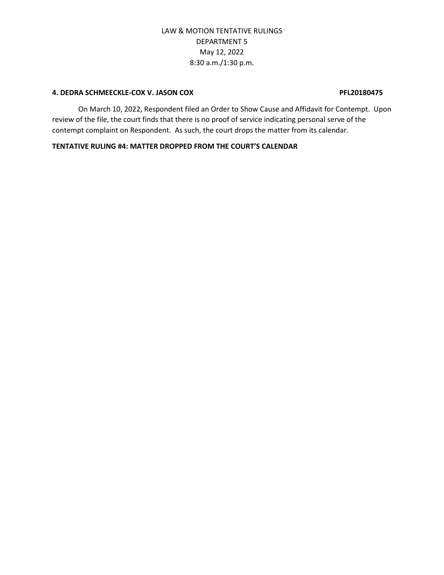### **4. DEDRA SCHMEECKLE-COX V. JASON COX PFL20180475**

On March 10, 2022, Respondent filed an Order to Show Cause and Affidavit for Contempt. Upon review of the file, the court finds that there is no proof of service indicating personal serve of the contempt complaint on Respondent. As such, the court drops the matter from its calendar.

### **TENTATIVE RULING #4: MATTER DROPPED FROM THE COURT'S CALENDAR**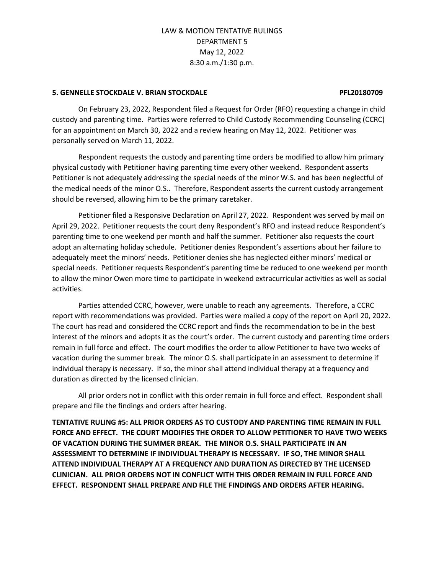#### **5. GENNELLE STOCKDALE V. BRIAN STOCKDALE PFL20180709**

On February 23, 2022, Respondent filed a Request for Order (RFO) requesting a change in child custody and parenting time. Parties were referred to Child Custody Recommending Counseling (CCRC) for an appointment on March 30, 2022 and a review hearing on May 12, 2022. Petitioner was personally served on March 11, 2022.

Respondent requests the custody and parenting time orders be modified to allow him primary physical custody with Petitioner having parenting time every other weekend. Respondent asserts Petitioner is not adequately addressing the special needs of the minor W.S. and has been neglectful of the medical needs of the minor O.S.. Therefore, Respondent asserts the current custody arrangement should be reversed, allowing him to be the primary caretaker.

Petitioner filed a Responsive Declaration on April 27, 2022. Respondent was served by mail on April 29, 2022. Petitioner requests the court deny Respondent's RFO and instead reduce Respondent's parenting time to one weekend per month and half the summer. Petitioner also requests the court adopt an alternating holiday schedule. Petitioner denies Respondent's assertions about her failure to adequately meet the minors' needs. Petitioner denies she has neglected either minors' medical or special needs. Petitioner requests Respondent's parenting time be reduced to one weekend per month to allow the minor Owen more time to participate in weekend extracurricular activities as well as social activities.

Parties attended CCRC, however, were unable to reach any agreements. Therefore, a CCRC report with recommendations was provided. Parties were mailed a copy of the report on April 20, 2022. The court has read and considered the CCRC report and finds the recommendation to be in the best interest of the minors and adopts it as the court's order. The current custody and parenting time orders remain in full force and effect. The court modifies the order to allow Petitioner to have two weeks of vacation during the summer break. The minor O.S. shall participate in an assessment to determine if individual therapy is necessary. If so, the minor shall attend individual therapy at a frequency and duration as directed by the licensed clinician.

All prior orders not in conflict with this order remain in full force and effect. Respondent shall prepare and file the findings and orders after hearing.

**TENTATIVE RULING #5: ALL PRIOR ORDERS AS TO CUSTODY AND PARENTING TIME REMAIN IN FULL FORCE AND EFFECT. THE COURT MODIFIES THE ORDER TO ALLOW PETITIONER TO HAVE TWO WEEKS OF VACATION DURING THE SUMMER BREAK. THE MINOR O.S. SHALL PARTICIPATE IN AN ASSESSMENT TO DETERMINE IF INDIVIDUAL THERAPY IS NECESSARY. IF SO, THE MINOR SHALL ATTEND INDIVIDUAL THERAPY AT A FREQUENCY AND DURATION AS DIRECTED BY THE LICENSED CLINICIAN. ALL PRIOR ORDERS NOT IN CONFLICT WITH THIS ORDER REMAIN IN FULL FORCE AND EFFECT. RESPONDENT SHALL PREPARE AND FILE THE FINDINGS AND ORDERS AFTER HEARING.**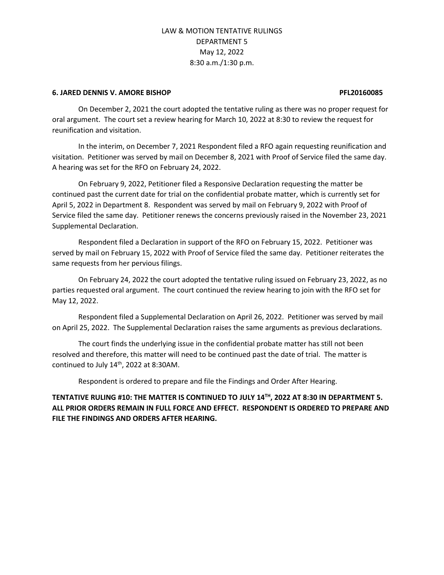#### **6. JARED DENNIS V. AMORE BISHOP PFL20160085**

On December 2, 2021 the court adopted the tentative ruling as there was no proper request for oral argument. The court set a review hearing for March 10, 2022 at 8:30 to review the request for reunification and visitation.

In the interim, on December 7, 2021 Respondent filed a RFO again requesting reunification and visitation. Petitioner was served by mail on December 8, 2021 with Proof of Service filed the same day. A hearing was set for the RFO on February 24, 2022.

On February 9, 2022, Petitioner filed a Responsive Declaration requesting the matter be continued past the current date for trial on the confidential probate matter, which is currently set for April 5, 2022 in Department 8. Respondent was served by mail on February 9, 2022 with Proof of Service filed the same day. Petitioner renews the concerns previously raised in the November 23, 2021 Supplemental Declaration.

Respondent filed a Declaration in support of the RFO on February 15, 2022. Petitioner was served by mail on February 15, 2022 with Proof of Service filed the same day. Petitioner reiterates the same requests from her pervious filings.

On February 24, 2022 the court adopted the tentative ruling issued on February 23, 2022, as no parties requested oral argument. The court continued the review hearing to join with the RFO set for May 12, 2022.

Respondent filed a Supplemental Declaration on April 26, 2022. Petitioner was served by mail on April 25, 2022. The Supplemental Declaration raises the same arguments as previous declarations.

The court finds the underlying issue in the confidential probate matter has still not been resolved and therefore, this matter will need to be continued past the date of trial. The matter is continued to July  $14<sup>th</sup>$ , 2022 at 8:30AM.

Respondent is ordered to prepare and file the Findings and Order After Hearing.

**TENTATIVE RULING #10: THE MATTER IS CONTINUED TO JULY 14TH, 2022 AT 8:30 IN DEPARTMENT 5. ALL PRIOR ORDERS REMAIN IN FULL FORCE AND EFFECT. RESPONDENT IS ORDERED TO PREPARE AND FILE THE FINDINGS AND ORDERS AFTER HEARING.**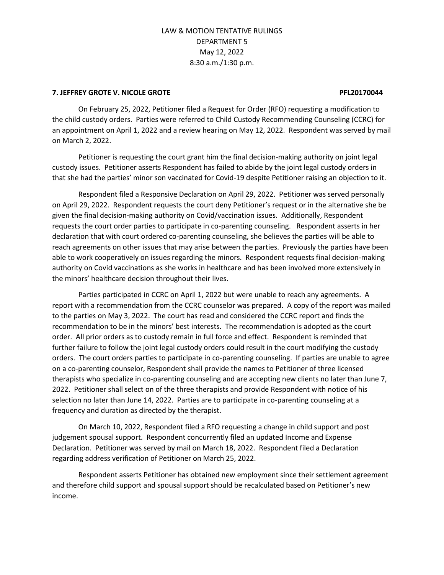#### **7. JEFFREY GROTE V. NICOLE GROTE PFL20170044**

On February 25, 2022, Petitioner filed a Request for Order (RFO) requesting a modification to the child custody orders. Parties were referred to Child Custody Recommending Counseling (CCRC) for an appointment on April 1, 2022 and a review hearing on May 12, 2022. Respondent was served by mail on March 2, 2022.

Petitioner is requesting the court grant him the final decision-making authority on joint legal custody issues. Petitioner asserts Respondent has failed to abide by the joint legal custody orders in that she had the parties' minor son vaccinated for Covid-19 despite Petitioner raising an objection to it.

Respondent filed a Responsive Declaration on April 29, 2022. Petitioner was served personally on April 29, 2022. Respondent requests the court deny Petitioner's request or in the alternative she be given the final decision-making authority on Covid/vaccination issues. Additionally, Respondent requests the court order parties to participate in co-parenting counseling. Respondent asserts in her declaration that with court ordered co-parenting counseling, she believes the parties will be able to reach agreements on other issues that may arise between the parties. Previously the parties have been able to work cooperatively on issues regarding the minors. Respondent requests final decision-making authority on Covid vaccinations as she works in healthcare and has been involved more extensively in the minors' healthcare decision throughout their lives.

Parties participated in CCRC on April 1, 2022 but were unable to reach any agreements. A report with a recommendation from the CCRC counselor was prepared. A copy of the report was mailed to the parties on May 3, 2022. The court has read and considered the CCRC report and finds the recommendation to be in the minors' best interests. The recommendation is adopted as the court order. All prior orders as to custody remain in full force and effect. Respondent is reminded that further failure to follow the joint legal custody orders could result in the court modifying the custody orders. The court orders parties to participate in co-parenting counseling. If parties are unable to agree on a co-parenting counselor, Respondent shall provide the names to Petitioner of three licensed therapists who specialize in co-parenting counseling and are accepting new clients no later than June 7, 2022. Petitioner shall select on of the three therapists and provide Respondent with notice of his selection no later than June 14, 2022. Parties are to participate in co-parenting counseling at a frequency and duration as directed by the therapist.

On March 10, 2022, Respondent filed a RFO requesting a change in child support and post judgement spousal support. Respondent concurrently filed an updated Income and Expense Declaration. Petitioner was served by mail on March 18, 2022. Respondent filed a Declaration regarding address verification of Petitioner on March 25, 2022.

Respondent asserts Petitioner has obtained new employment since their settlement agreement and therefore child support and spousal support should be recalculated based on Petitioner's new income.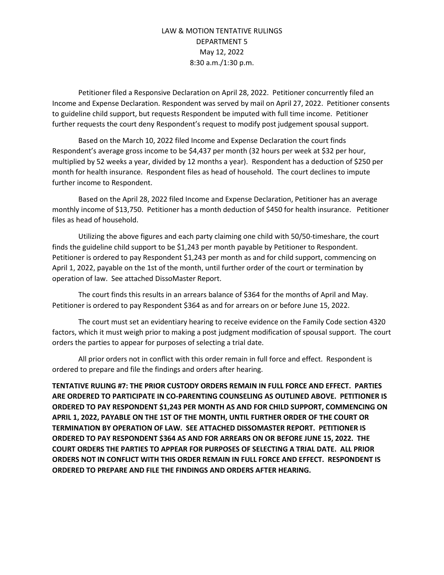Petitioner filed a Responsive Declaration on April 28, 2022. Petitioner concurrently filed an Income and Expense Declaration. Respondent was served by mail on April 27, 2022. Petitioner consents to guideline child support, but requests Respondent be imputed with full time income. Petitioner further requests the court deny Respondent's request to modify post judgement spousal support.

Based on the March 10, 2022 filed Income and Expense Declaration the court finds Respondent's average gross income to be \$4,437 per month (32 hours per week at \$32 per hour, multiplied by 52 weeks a year, divided by 12 months a year). Respondent has a deduction of \$250 per month for health insurance. Respondent files as head of household. The court declines to impute further income to Respondent.

Based on the April 28, 2022 filed Income and Expense Declaration, Petitioner has an average monthly income of \$13,750. Petitioner has a month deduction of \$450 for health insurance. Petitioner files as head of household.

Utilizing the above figures and each party claiming one child with 50/50-timeshare, the court finds the guideline child support to be \$1,243 per month payable by Petitioner to Respondent. Petitioner is ordered to pay Respondent \$1,243 per month as and for child support, commencing on April 1, 2022, payable on the 1st of the month, until further order of the court or termination by operation of law. See attached DissoMaster Report.

The court finds this results in an arrears balance of \$364 for the months of April and May. Petitioner is ordered to pay Respondent \$364 as and for arrears on or before June 15, 2022.

The court must set an evidentiary hearing to receive evidence on the Family Code section 4320 factors, which it must weigh prior to making a post judgment modification of spousal support. The court orders the parties to appear for purposes of selecting a trial date.

All prior orders not in conflict with this order remain in full force and effect. Respondent is ordered to prepare and file the findings and orders after hearing.

**TENTATIVE RULING #7: THE PRIOR CUSTODY ORDERS REMAIN IN FULL FORCE AND EFFECT. PARTIES ARE ORDERED TO PARTICIPATE IN CO-PARENTING COUNSELING AS OUTLINED ABOVE. PETITIONER IS ORDERED TO PAY RESPONDENT \$1,243 PER MONTH AS AND FOR CHILD SUPPORT, COMMENCING ON APRIL 1, 2022, PAYABLE ON THE 1ST OF THE MONTH, UNTIL FURTHER ORDER OF THE COURT OR TERMINATION BY OPERATION OF LAW. SEE ATTACHED DISSOMASTER REPORT. PETITIONER IS ORDERED TO PAY RESPONDENT \$364 AS AND FOR ARREARS ON OR BEFORE JUNE 15, 2022. THE COURT ORDERS THE PARTIES TO APPEAR FOR PURPOSES OF SELECTING A TRIAL DATE. ALL PRIOR ORDERS NOT IN CONFLICT WITH THIS ORDER REMAIN IN FULL FORCE AND EFFECT. RESPONDENT IS ORDERED TO PREPARE AND FILE THE FINDINGS AND ORDERS AFTER HEARING.**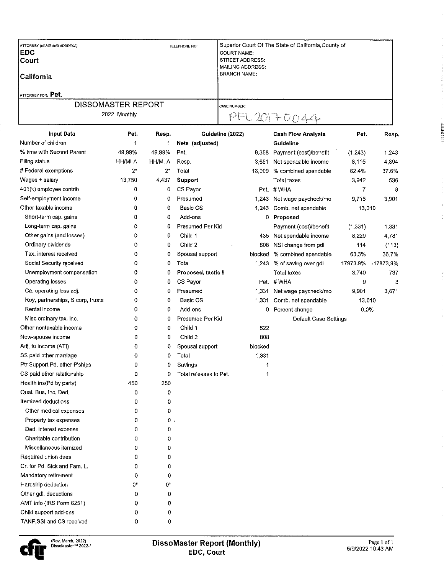| <b>ATTORNEY (NAME AND ADDRESS):</b><br><b>IEDC</b><br><b>Court</b><br>l California<br>ATTORNEY FOR: Pet. | TELEPHONE NO: | Superior Court Of The State of California, County of<br><b>COURT NAME:</b><br><b>STREET ADDRESS:</b><br>MAILING ADDRESS:<br><b>BRANCH NAME:</b> |
|----------------------------------------------------------------------------------------------------------|---------------|-------------------------------------------------------------------------------------------------------------------------------------------------|
| <b>DISSOMASTER REPORT</b><br>2022, Monthly                                                               |               | <b>I CASE NUMBER:</b><br>$PFL201+0044$                                                                                                          |

| <b>Input Data</b>                 | Pet.          | Resp.         | Guideline (2022)       |         | <b>Cash Flow Analysis</b>     | Pet.     | Resp.     |
|-----------------------------------|---------------|---------------|------------------------|---------|-------------------------------|----------|-----------|
| Number of children                | 1             | 1             | Nets (adjusted)        |         | Guideline                     |          |           |
| % time with Second Parent         | 49.99%        | 49.99%        | Pet.                   | 9,358   | Payment (cost)/benefit        | (1, 243) | 1,243     |
| Filing status                     | <b>HH/MLA</b> | <b>HH/MLA</b> | Resp.                  | 3,651   | Net spendable income          | 8,115    | 4,894     |
| # Federal exemptions              | $2^*$         | $2^*$         | Total                  | 13,009  | % combined spendable          | 62.4%    | 37.6%     |
| Wages + salary                    | 13,750        | 4,437         | Support                |         | Total taxes                   | 3,942    | 536       |
| 401(k) employee contrib           | 0             | 0             | CS Payor               |         | Pet #WHA                      | 7        | 8         |
| Self-employment income            | 0             | 0             | Presumed               | 1,243   | Net wage paycheck/mo          | 9,715    | 3,901     |
| Other taxable income              | 0             | 0             | Basic CS               | 1,243   | Comb. net spendable           | 13,010   |           |
| Short-term cap. gains             | 0             | 0             | Add-ons                |         | 0 Proposed                    |          |           |
| Long-term cap. gains              | 0             | 0             | Presumed Per Kid       |         | Payment (cost)/benefit        | (1, 331) | 1,331     |
| Other gains (and losses)          | 0             | 0             | Child 1                | 435     | Net spendable income          | 8,229    | 4,781     |
| Ordinary dividends                | 0             | 0             | Child 2                | 808     | NSI change from gdl           | 114      | (113)     |
| Tax, interest received            | 0             | 0             | Spousal support        | blocked | % combined spendable          | 63,3%    | 36.7%     |
| Social Security received          | 0             | 0             | Total                  | 1,243   | % of saving over gdl          | 17973.9% | -17873,9% |
| Unemployment compensation         | 0             | 0             | Proposed, tactic 9     |         | Total taxes                   | 3,740    | 737       |
| Operating losses                  | 0             | 0             | CS Payor               |         | Pet. # WHA                    | 9        | 3         |
| Ca. operating loss adj.           | 0             | 0             | Presumed               | 1,331   | Net wage paycheck/mo          | 9,901    | 3,671     |
| Roy, partnerships, S corp, trusts | 0             | 0             | Basic CS               | 1,331   | Comb. net spendable<br>13,010 |          |           |
| Rental income                     | 0             | 0             | Add-ons                | 0.      | Percent change                | 0.0%     |           |
| Misc ordinary tax. inc.           | 0             | 0             | Presumed Per Kid       |         | Default Case Settings         |          |           |
| Other nontaxable income           | 0             | 0             | Child 1                | 522     |                               |          |           |
| New-spouse income                 | 0             | 0             | Child 2                | 808     |                               |          |           |
| Adj. to income (ATI)              | 0             | 0             | Spousal support        | blocked |                               |          |           |
| SS paid other marriage            | 0             | 0             | Total                  | 1,331   |                               |          |           |
| Ptr Support Pd. other P'ships     | 0             | 0             | Savings                |         |                               |          |           |
| CS paid other relationship        | 0             | 0             | Total releases to Pet. | 1       |                               |          |           |
| Health ins (Pd by party)          | 450           | 250           |                        |         |                               |          |           |
| Qual. Bus, Inc. Ded.              | 0             | 0             |                        |         |                               |          |           |
| Itemized deductions               | 0             | 0             |                        |         |                               |          |           |
| Other medical expenses            | 0             | 0             |                        |         |                               |          |           |
| Property tax expenses             | 0             | 0             |                        |         |                               |          |           |
| Ded, interest expense             | 0             | 0             |                        |         |                               |          |           |
| Charitable contribution           | 0             | 0             |                        |         |                               |          |           |
| Miscellaneous itemized            | 0             | 0             |                        |         |                               |          |           |
| Required union dues               | 0             | 0             |                        |         |                               |          |           |
| Cr. for Pd. Sick and Fam. L.      | 0             | 0             |                        |         |                               |          |           |
| Mandatory retirement              | 0             | 0             |                        |         |                               |          |           |
| Hardship deduction                | 0*            | $0^*$         |                        |         |                               |          |           |
| Other gdl, deductions             | 0             | 0             |                        |         |                               |          |           |
| AMT info (IRS Form 6251)          | 0             | 0             |                        |         |                               |          |           |
| Child support add-ons             | 0             | 0             |                        |         |                               |          |           |
| TANF.SSI and CS received          | 0             | 0             |                        |         |                               |          |           |

 $\hat{r}$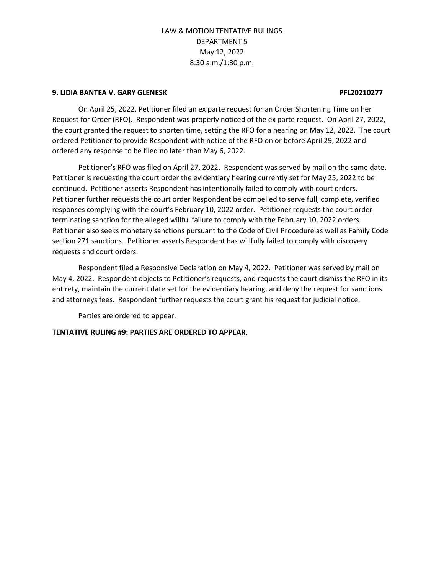#### **9. LIDIA BANTEA V. GARY GLENESK PFL20210277**

On April 25, 2022, Petitioner filed an ex parte request for an Order Shortening Time on her Request for Order (RFO). Respondent was properly noticed of the ex parte request. On April 27, 2022, the court granted the request to shorten time, setting the RFO for a hearing on May 12, 2022. The court ordered Petitioner to provide Respondent with notice of the RFO on or before April 29, 2022 and ordered any response to be filed no later than May 6, 2022.

Petitioner's RFO was filed on April 27, 2022. Respondent was served by mail on the same date. Petitioner is requesting the court order the evidentiary hearing currently set for May 25, 2022 to be continued. Petitioner asserts Respondent has intentionally failed to comply with court orders. Petitioner further requests the court order Respondent be compelled to serve full, complete, verified responses complying with the court's February 10, 2022 order. Petitioner requests the court order terminating sanction for the alleged willful failure to comply with the February 10, 2022 orders. Petitioner also seeks monetary sanctions pursuant to the Code of Civil Procedure as well as Family Code section 271 sanctions. Petitioner asserts Respondent has willfully failed to comply with discovery requests and court orders.

Respondent filed a Responsive Declaration on May 4, 2022. Petitioner was served by mail on May 4, 2022. Respondent objects to Petitioner's requests, and requests the court dismiss the RFO in its entirety, maintain the current date set for the evidentiary hearing, and deny the request for sanctions and attorneys fees. Respondent further requests the court grant his request for judicial notice.

Parties are ordered to appear.

### **TENTATIVE RULING #9: PARTIES ARE ORDERED TO APPEAR.**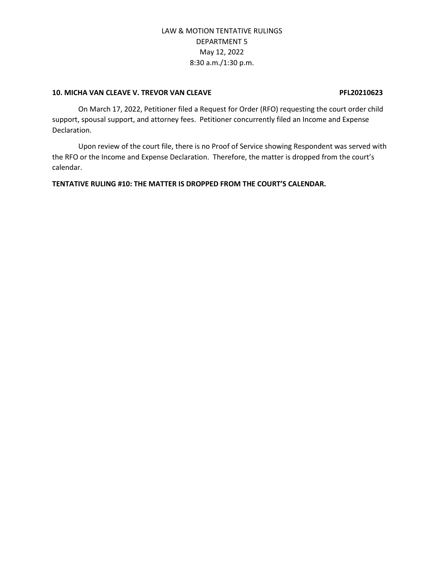#### **10. MICHA VAN CLEAVE V. TREVOR VAN CLEAVE PFL20210623**

On March 17, 2022, Petitioner filed a Request for Order (RFO) requesting the court order child support, spousal support, and attorney fees. Petitioner concurrently filed an Income and Expense Declaration.

Upon review of the court file, there is no Proof of Service showing Respondent was served with the RFO or the Income and Expense Declaration. Therefore, the matter is dropped from the court's calendar.

**TENTATIVE RULING #10: THE MATTER IS DROPPED FROM THE COURT'S CALENDAR.**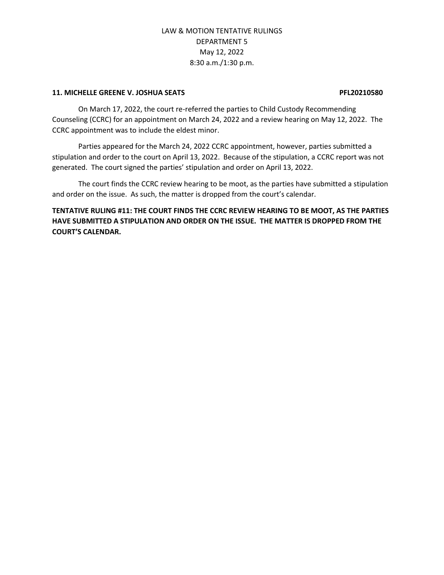#### **11. MICHELLE GREENE V. JOSHUA SEATS PFL20210580**

On March 17, 2022, the court re-referred the parties to Child Custody Recommending Counseling (CCRC) for an appointment on March 24, 2022 and a review hearing on May 12, 2022. The CCRC appointment was to include the eldest minor.

Parties appeared for the March 24, 2022 CCRC appointment, however, parties submitted a stipulation and order to the court on April 13, 2022. Because of the stipulation, a CCRC report was not generated. The court signed the parties' stipulation and order on April 13, 2022.

The court finds the CCRC review hearing to be moot, as the parties have submitted a stipulation and order on the issue. As such, the matter is dropped from the court's calendar.

# **TENTATIVE RULING #11: THE COURT FINDS THE CCRC REVIEW HEARING TO BE MOOT, AS THE PARTIES HAVE SUBMITTED A STIPULATION AND ORDER ON THE ISSUE. THE MATTER IS DROPPED FROM THE COURT'S CALENDAR.**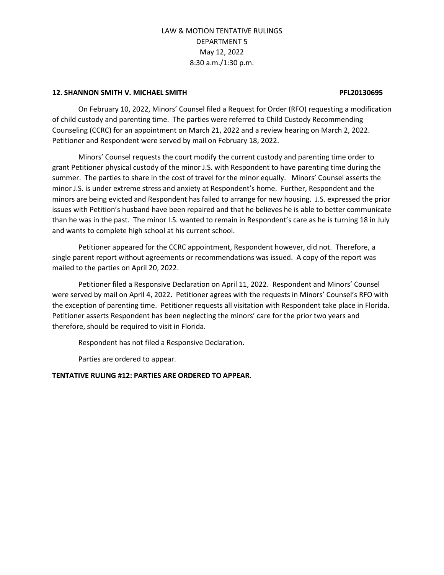#### **12. SHANNON SMITH V. MICHAEL SMITH PFL20130695**

On February 10, 2022, Minors' Counsel filed a Request for Order (RFO) requesting a modification

of child custody and parenting time. The parties were referred to Child Custody Recommending Counseling (CCRC) for an appointment on March 21, 2022 and a review hearing on March 2, 2022. Petitioner and Respondent were served by mail on February 18, 2022.

Minors' Counsel requests the court modify the current custody and parenting time order to grant Petitioner physical custody of the minor J.S. with Respondent to have parenting time during the summer. The parties to share in the cost of travel for the minor equally. Minors' Counsel asserts the minor J.S. is under extreme stress and anxiety at Respondent's home. Further, Respondent and the minors are being evicted and Respondent has failed to arrange for new housing. J.S. expressed the prior issues with Petition's husband have been repaired and that he believes he is able to better communicate than he was in the past. The minor I.S. wanted to remain in Respondent's care as he is turning 18 in July and wants to complete high school at his current school.

Petitioner appeared for the CCRC appointment, Respondent however, did not. Therefore, a single parent report without agreements or recommendations was issued. A copy of the report was mailed to the parties on April 20, 2022.

Petitioner filed a Responsive Declaration on April 11, 2022. Respondent and Minors' Counsel were served by mail on April 4, 2022. Petitioner agrees with the requests in Minors' Counsel's RFO with the exception of parenting time. Petitioner requests all visitation with Respondent take place in Florida. Petitioner asserts Respondent has been neglecting the minors' care for the prior two years and therefore, should be required to visit in Florida.

Respondent has not filed a Responsive Declaration.

Parties are ordered to appear.

### **TENTATIVE RULING #12: PARTIES ARE ORDERED TO APPEAR.**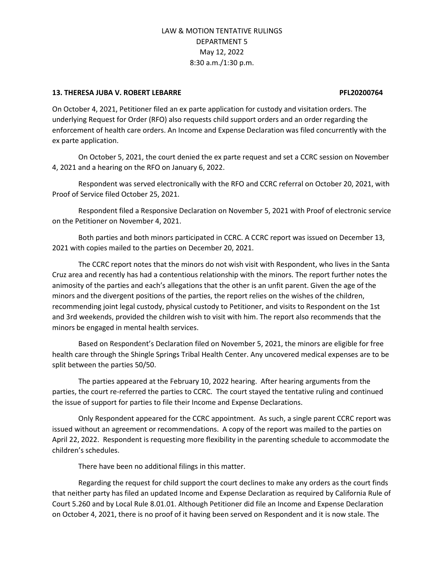#### **13. THERESA JUBA V. ROBERT LEBARRE PFL20200764**

On October 4, 2021, Petitioner filed an ex parte application for custody and visitation orders. The underlying Request for Order (RFO) also requests child support orders and an order regarding the enforcement of health care orders. An Income and Expense Declaration was filed concurrently with the ex parte application.

On October 5, 2021, the court denied the ex parte request and set a CCRC session on November 4, 2021 and a hearing on the RFO on January 6, 2022.

Respondent was served electronically with the RFO and CCRC referral on October 20, 2021, with Proof of Service filed October 25, 2021.

Respondent filed a Responsive Declaration on November 5, 2021 with Proof of electronic service on the Petitioner on November 4, 2021.

Both parties and both minors participated in CCRC. A CCRC report was issued on December 13, 2021 with copies mailed to the parties on December 20, 2021.

The CCRC report notes that the minors do not wish visit with Respondent, who lives in the Santa Cruz area and recently has had a contentious relationship with the minors. The report further notes the animosity of the parties and each's allegations that the other is an unfit parent. Given the age of the minors and the divergent positions of the parties, the report relies on the wishes of the children, recommending joint legal custody, physical custody to Petitioner, and visits to Respondent on the 1st and 3rd weekends, provided the children wish to visit with him. The report also recommends that the minors be engaged in mental health services.

Based on Respondent's Declaration filed on November 5, 2021, the minors are eligible for free health care through the Shingle Springs Tribal Health Center. Any uncovered medical expenses are to be split between the parties 50/50.

The parties appeared at the February 10, 2022 hearing. After hearing arguments from the parties, the court re-referred the parties to CCRC. The court stayed the tentative ruling and continued the issue of support for parties to file their Income and Expense Declarations.

Only Respondent appeared for the CCRC appointment. As such, a single parent CCRC report was issued without an agreement or recommendations. A copy of the report was mailed to the parties on April 22, 2022. Respondent is requesting more flexibility in the parenting schedule to accommodate the children's schedules.

There have been no additional filings in this matter.

Regarding the request for child support the court declines to make any orders as the court finds that neither party has filed an updated Income and Expense Declaration as required by California Rule of Court 5.260 and by Local Rule 8.01.01. Although Petitioner did file an Income and Expense Declaration on October 4, 2021, there is no proof of it having been served on Respondent and it is now stale. The